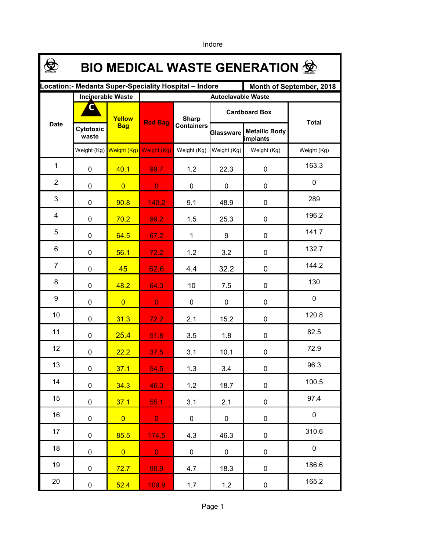**\$ BIO MEDICAL WASTE GENERATION Location:- Medanta Super-Speciality Hospital – Indore Month of September, 2018 Incinerable Waste Autoclavable Waste CCardboard Box Yellow Sharp**  Date **Raging Bag**<br>**Raging Bag**<br>**Raging Bag Total Bag Cytotoxic Metallic Body Glassware waste implants** Weight (Kg) Weight (Kg) Weight (Kg) Weight (Kg) Weight (Kg) Weight (Kg) Weight (Kg) 1 163.3 0 <mark>| 40.1 | 99.7 |</mark> 1.2 | 22.3 | 0 2  $\Omega$ 0 <mark>0 0 0 0 0 0 0</mark> 0 3 289 0 **90.8 140.2** 9.1 48.9 0 4 196.2 0 <mark>| 70.2 | 99.2 |</mark> 1.5 | 25.3 | 0 5 141.7 0 <mark>64.5 67.2</mark> 1 9 0 6 132.7 0 <mark>| 56.1 | 72.2 |</mark> 1.2 | 3.2 | 0 7 144.2 0 <mark>45 62.6</mark> 4.4 32.2 0 8 130 0 <mark>| 48.2 | 64.3 |</mark> 10 | 7.5 | 0 9 0 0 <mark>0 0 0 0 0 0 0</mark> 0 120.8 10 0 <mark>31.3 72.2</mark> 2.1 15.2 0 82.5 11 0 <mark>25.4 51.8</mark> 3.5 1.8 0 72.9 12 0 22.2 37.5 3.1 10.1 0 96.3 13 0 <mark>37.1 54.5</mark> 1.3 3.4 0 100.5 14 0 34.3 46.3 1.2 18.7 0 97.4 15 0 <mark>37.1 55.1 3.1</mark> 2.1 0 0 16 0 0 0 0 0 0 0 0 0 310.6 17 0 85.5 174.5 4.3 46.3 0 0 18 0 <mark>0 0 0</mark> 0 0 0 0 186.6 19 0 <mark>72.7 90.9 4.7</mark> 18.3 0 165.2 20 0 <mark>52.4 109.9</mark> 1.7 1.2 0

Indore

Page 1